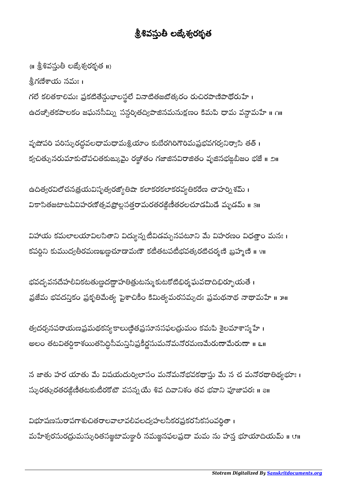## శ్రీశివస్తుతీ లజ్కేశ్వరకృత

 $\{ \text{II} \text{ } \overset{5}{\mathbf{2}} \overset{8}{\mathbf{6}} \overset{5}{\mathbf{6}} \overset{5}{\mathbf{6}} \overset{9}{\mathbf{6}} \overset{1}{\mathbf{1}} \overset{9}{\mathbf{6}} \overset{10}{\mathbf{6}} \overset{11}{\mathbf{6}} \overset{11}{\mathbf{6}} \overset{12}{\mathbf{6}} \overset{13}{\mathbf{6}} \overset{14}{\mathbf{6}} \overset{15}{\mathbf{6}} \overset{16}{\mathbf{6}} \overset{17}{\mathbf{6}} \overset{10}{\$ 

శ్రీగణేశాయ నమః ।

గలే కలితకాలిమః ప్రకటితేన్దుభాలస్థలే వినాటితజటోత్కరం రుచిరపాణిపాథోరుహే। ఉదఞ్చితకపాలకం జఘనసీమ్ని సన్ధర్శితద్విపాజినమనుక్షణం కిమపి ధామ వన్దామహే ॥ ౧॥

వృషోపరి పరిస్పురద్ధవలధామధామశ్రియాం కుబేరగిరిగౌరిమప్రభవగర్వనిర్యాసి తత్ । క్వచిత్పునరుమాకుచోపచితకుఙ్కుమై రజ్జోతం గజాజినవిరాజితం వృజినభఙ్గబీజం భజే॥ ౨॥

ఉదిత్వరవిలోచనత్రయవిసృత్వరజ్యోతిషా కలాకరకలాకరవ్యతికరేణ చాహర్ని శమ్ । వికాసితజటాటవీవిహరణోత్సవప్రొల్లసత్తరామరతరజ్గిణీతరలచూడమీడే మృడమ్ ॥ 3॥

విహాయ కమలాలయావిలసితాని విద్యున్నటీవిడమ్బనపటూని మే విహరణం విధత్తాం మనః । కపర్ధిని కుముద్యతీరమణఖణ్ణచూడామణౌ కటీతటపటీభవత్కరటిచర్మణి బ్రహ్మణి ॥ ४॥

భవద్భవనదేహలీవికటతుణ్ణదణ్ణాహతిత్రుటన్ముకుటకోటిభిర్మఘవదాదిభిర్భూయతే । వ్రజేమ భవదన్తికం ప్రకృతిమేత్య పైశాచికీం కిమిత్యమరసమ్పదః ప్రమథనాథ నాథామహే ॥ ౫॥

త్యదర్చనపరాయణప్రమథకన్య కాలుణ్ఠితప్రసూనసఫలద్రుమం కమపి శైలమాశాస్మ్ హే। అలం తటవితర్దికాశయితసిద్ధీసీమన్తిపకిర్ణసుమనోమనోరమణమెరుణాయేరుణా ॥ ౬॥  $\overline{ }$ 

న జాతు హర యాతు మే విషయదుర్విలాసం మనోమనోభవకథాస్తు మే న చ మనోరథాతిథ్యభూః । స్పురత్సురతరజ్గిణీతటకుటీరకోటౌ వసన్నయే శివ దివానిశం తవ భవాని పూజాపరః ॥ ౭॥

విభూషణసురాపగాశుచితరాలవాలావలివలద్వహలసీకరప్రకరసేకసంవర్ధితా । మహేశ్వరసురద్రుమస్ళురితసజ్ఞటామజ్ఞారీ నమజ్జనఫలప్రదా మమ ను హన్త భూయాదియమ్ ॥ ౮॥